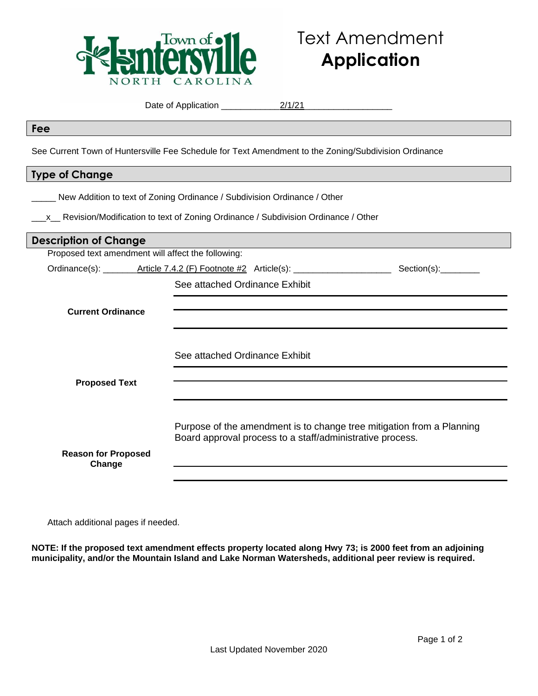

| Fee                                                                                                  |                                                                                       |  |
|------------------------------------------------------------------------------------------------------|---------------------------------------------------------------------------------------|--|
| See Current Town of Huntersville Fee Schedule for Text Amendment to the Zoning/Subdivision Ordinance |                                                                                       |  |
| <b>Type of Change</b>                                                                                |                                                                                       |  |
|                                                                                                      | New Addition to text of Zoning Ordinance / Subdivision Ordinance / Other              |  |
|                                                                                                      | _x_ Revision/Modification to text of Zoning Ordinance / Subdivision Ordinance / Other |  |
| <b>Description of Change</b>                                                                         |                                                                                       |  |
| Proposed text amendment will affect the following:                                                   |                                                                                       |  |
|                                                                                                      |                                                                                       |  |
|                                                                                                      | See attached Ordinance Exhibit                                                        |  |
| <b>Current Ordinance</b>                                                                             |                                                                                       |  |
|                                                                                                      |                                                                                       |  |
|                                                                                                      |                                                                                       |  |
|                                                                                                      | See attached Ordinance Exhibit                                                        |  |
| <b>Proposed Text</b>                                                                                 |                                                                                       |  |
|                                                                                                      |                                                                                       |  |
|                                                                                                      |                                                                                       |  |
|                                                                                                      | Purpose of the amendment is to change tree mitigation from a Planning                 |  |
|                                                                                                      | Board approval process to a staff/administrative process.                             |  |
| <b>Reason for Proposed</b>                                                                           |                                                                                       |  |

Date of Application \_\_\_\_\_\_\_\_\_\_\_\_2/1/21\_\_\_\_\_\_\_\_\_\_\_\_\_\_\_\_\_\_

**Change**

Attach additional pages if needed.

**NOTE: If the proposed text amendment effects property located along Hwy 73; is 2000 feet from an adjoining municipality, and/or the Mountain Island and Lake Norman Watersheds, additional peer review is required.**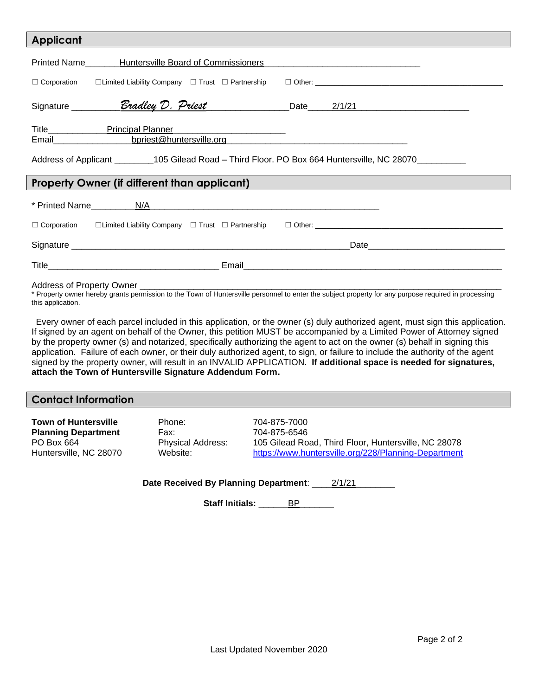| <b>Applicant</b>                                                                                                                                              |  |  |
|---------------------------------------------------------------------------------------------------------------------------------------------------------------|--|--|
| Printed Name_______Huntersville Board of Commissioners__________________________                                                                              |  |  |
|                                                                                                                                                               |  |  |
|                                                                                                                                                               |  |  |
| Email <b>Email Email Email Email Email Email Email Email Email Email Email Email Email Email Email Email Email Email Email Email Email Email Email Email </b> |  |  |
| Address of Applicant _________105 Gilead Road - Third Floor. PO Box 664 Huntersville, NC 28070_______                                                         |  |  |
| <b>Property Owner (if different than applicant)</b>                                                                                                           |  |  |
|                                                                                                                                                               |  |  |
|                                                                                                                                                               |  |  |
|                                                                                                                                                               |  |  |
|                                                                                                                                                               |  |  |
|                                                                                                                                                               |  |  |

\* Property owner hereby grants permission to the Town of Huntersville personnel to enter the subject property for any purpose required in processing this application.

 Every owner of each parcel included in this application, or the owner (s) duly authorized agent, must sign this application. If signed by an agent on behalf of the Owner, this petition MUST be accompanied by a Limited Power of Attorney signed by the property owner (s) and notarized, specifically authorizing the agent to act on the owner (s) behalf in signing this application. Failure of each owner, or their duly authorized agent, to sign, or failure to include the authority of the agent signed by the property owner, will result in an INVALID APPLICATION. **If additional space is needed for signatures, attach the Town of Huntersville Signature Addendum Form.**

## **Contact Information**

| <b>Town of Huntersville</b> |  |
|-----------------------------|--|
| <b>Planning Department</b>  |  |
| PO Box 664                  |  |
| Huntersville, NC 28070      |  |

Phone: 704-875-7000 **Planning Department** Fax: 704-875-6546

Physical Address: 105 Gilead Road, Third Floor, Huntersville, NC 28078 Website: <https://www.huntersville.org/228/Planning-Department>

Date Received By Planning Department: 2/1/21\_

Staff Initials: **BP**